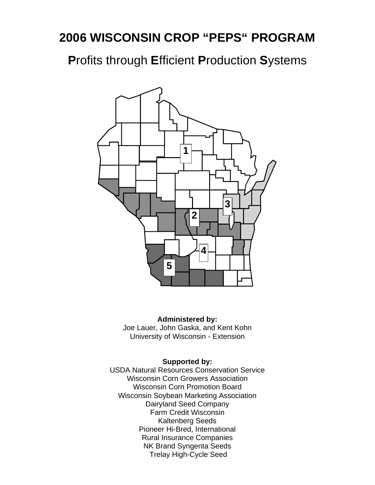# **2006 WISCONSIN CROP "PEPS" PROGRAM**

**P**rofits through **E**fficient **P**roduction **S**ystems



#### **Administered by:**

Joe Lauer, John Gaska, and Kent Kohn University of Wisconsin - Extension

### **Supported by:**

USDA Natural Resources Conservation Service Wisconsin Corn Growers Association Wisconsin Corn Promotion Board Wisconsin Soybean Marketing Association Dairyland Seed Company Farm Credit Wisconsin Kaltenberg Seeds Pioneer Hi-Bred, International Rural Insurance Companies NK Brand Syngenta Seeds Trelay High-Cycle Seed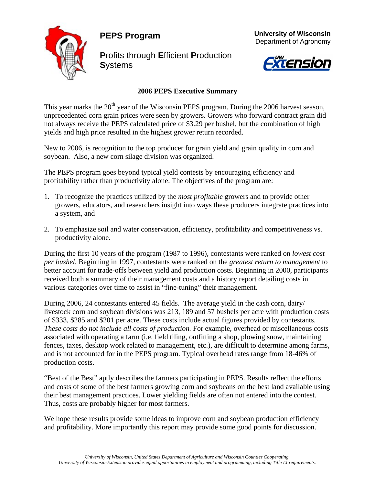**PEPS Program** 



**P**rofits through **E**fficient **P**roduction **S**ystems





### **2006 PEPS Executive Summary**

This year marks the  $20<sup>th</sup>$  year of the Wisconsin PEPS program. During the 2006 harvest season, unprecedented corn grain prices were seen by growers. Growers who forward contract grain did not always receive the PEPS calculated price of \$3.29 per bushel, but the combination of high yields and high price resulted in the highest grower return recorded.

New to 2006, is recognition to the top producer for grain yield and grain quality in corn and soybean. Also, a new corn silage division was organized.

The PEPS program goes beyond typical yield contests by encouraging efficiency and profitability rather than productivity alone. The objectives of the program are:

- 1. To recognize the practices utilized by the *most profitable* growers and to provide other growers, educators, and researchers insight into ways these producers integrate practices into a system, and
- 2. To emphasize soil and water conservation, efficiency, profitability and competitiveness vs. productivity alone.

During the first 10 years of the program (1987 to 1996), contestants were ranked on *lowest cost per bushel.* Beginning in 1997, contestants were ranked on the *greatest return to management* to better account for trade-offs between yield and production costs. Beginning in 2000, participants received both a summary of their management costs and a history report detailing costs in various categories over time to assist in "fine-tuning" their management.

During 2006, 24 contestants entered 45 fields. The average yield in the cash corn, dairy/ livestock corn and soybean divisions was 213, 189 and 57 bushels per acre with production costs of \$333, \$285 and \$201 per acre. These costs include actual figures provided by contestants. *These costs do not include all costs of production.* For example, overhead or miscellaneous costs associated with operating a farm (i.e. field tiling, outfitting a shop, plowing snow, maintaining fences, taxes, desktop work related to management, etc.), are difficult to determine among farms, and is not accounted for in the PEPS program. Typical overhead rates range from 18-46% of production costs.

"Best of the Best" aptly describes the farmers participating in PEPS. Results reflect the efforts and costs of some of the best farmers growing corn and soybeans on the best land available using their best management practices. Lower yielding fields are often not entered into the contest. Thus, costs are probably higher for most farmers.

We hope these results provide some ideas to improve corn and soybean production efficiency and profitability. More importantly this report may provide some good points for discussion.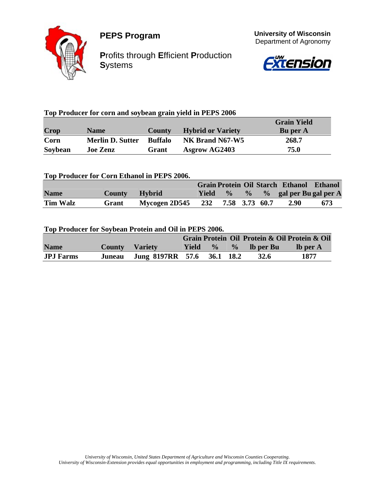



**P**rofits through **E**fficient **P**roduction **S**ystems





### **Top Producer for corn and soybean grain yield in PEPS 2006**

|         |                         |                |                          | <b>Grain Yield</b> |
|---------|-------------------------|----------------|--------------------------|--------------------|
| Crop    | <b>Name</b>             | <b>County</b>  | <b>Hybrid or Variety</b> | <b>Bu</b> per A    |
| Corn    | <b>Merlin D. Sutter</b> | <b>Buffalo</b> | NK Brand N67-W5          | 268.7              |
| Soybean | <b>Joe Zenz</b>         | Grant          | <b>Asgrow AG2403</b>     | 75.0               |

#### **Top Producer for Corn Ethanol in PEPS 2006.**

|                 |               |                                  |         |  | Grain Protein Oil Starch Ethanol Ethanol |     |
|-----------------|---------------|----------------------------------|---------|--|------------------------------------------|-----|
| <b>Name</b>     | County Hybrid |                                  | Yield % |  | $\%$ % gal per Bu gal per A              |     |
| <b>Tim Walz</b> | Grant         | Mycogen 2D545 232 7.58 3.73 60.7 |         |  | <b>2.90</b>                              | 673 |

#### **Top Producer for Soybean Protein and Oil in PEPS 2006.**

|                  |                       |                                   |  |                           | Grain Protein Oil Protein & Oil Protein & Oil |
|------------------|-----------------------|-----------------------------------|--|---------------------------|-----------------------------------------------|
| <b>Name</b>      | <b>County</b> Variety |                                   |  | Yield $\%$ $\%$ lb per Bu | $\blacksquare$ lb per A                       |
| <b>JPJ</b> Farms |                       | Juneau Jung 8197RR 57.6 36.1 18.2 |  | <b>32.6</b>               | 1877                                          |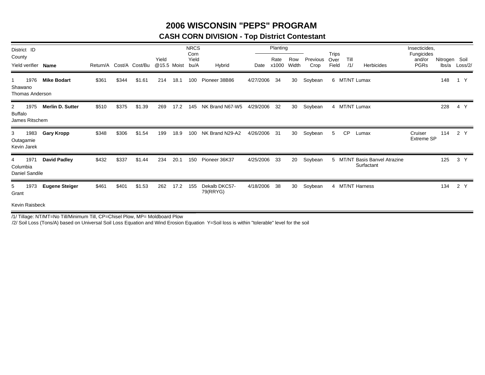## **2006 WISCONSIN "PEPS" PROGRAM**

### **CASH CORN DIVISION - Top District Contestant**

| District ID                                              |                         |       |       |                         |                      |      | <b>NRCS</b><br>Corn |                           |              | Planting      |              |                  |                        |             |                                             | Insecticides,<br>Fungicides |                        |         |
|----------------------------------------------------------|-------------------------|-------|-------|-------------------------|----------------------|------|---------------------|---------------------------|--------------|---------------|--------------|------------------|------------------------|-------------|---------------------------------------------|-----------------------------|------------------------|---------|
| County<br>Yield verifier Name                            |                         |       |       | Return/A Cost/A Cost/Bu | Yield<br>@15.5 Moist |      | Yield<br>bu/A       | Hybrid                    | Date         | Rate<br>x1000 | Row<br>Width | Previous<br>Crop | Trips<br>Over<br>Field | Till<br>/1/ | <b>Herbicides</b>                           | and/or<br><b>PGRs</b>       | Nitrogen Soil<br>lbs/a | Loss/2/ |
| 1976<br>Shawano<br>Thomas Anderson                       | <b>Mike Bodart</b>      | \$361 | \$344 | \$1.61                  | 214                  | 18.1 | 100                 | Pioneer 38B86             | 4/27/2006    | 34            | 30           | Soybean          |                        |             | 6 MT/NT Lumax                               |                             | 148                    | 1 Y     |
| 1975<br>$\mathbf{2}$<br><b>Buffalo</b><br>James Ritschem | <b>Merlin D. Sutter</b> | \$510 | \$375 | \$1.39                  | 269                  | 17.2 | 145                 | NK Brand N67-W5           | 4/29/2006    | 32            | 30           | Soybean          |                        |             | 4 MT/NT Lumax                               |                             | 228                    | 4 Y     |
| 1983<br>3<br>Outagamie<br>Kevin Jarek                    | <b>Gary Kropp</b>       | \$348 | \$306 | \$1.54                  | 199                  | 18.9 | 100                 | NK Brand N29-A2           | 4/26/2006 31 |               | 30           | Soybean          | 5                      | <b>CP</b>   | Lumax                                       | Cruiser<br>Extreme SP       | 114                    | 2 Y     |
| 1971<br>4<br>Columbia<br>Daniel Sandile                  | <b>David Padley</b>     | \$432 | \$337 | \$1.44                  | 234                  | 20.1 | 150                 | Pioneer 36K37             | 4/25/2006    | 33            | 20           | Soybean          |                        |             | 5 MT/NT Basis Banvel Atrazine<br>Surfactant |                             | 125                    | 3 Y     |
| 1973<br>5<br>Grant                                       | <b>Eugene Steiger</b>   | \$461 | \$401 | \$1.53                  | 262                  | 17.2 | 155                 | Dekalb DKC57-<br>79(RRYG) | 4/18/2006    | 38            | 30           | Soybean          |                        |             | 4 MT/NT Harness                             |                             | 134                    | 2 Y     |
| Kevin Raisbeck                                           |                         |       |       |                         |                      |      |                     |                           |              |               |              |                  |                        |             |                                             |                             |                        |         |

/1/ Tillage: NT/MT=No Till/Minimum Till, CP=Chisel Plow, MP= Moldboard Plow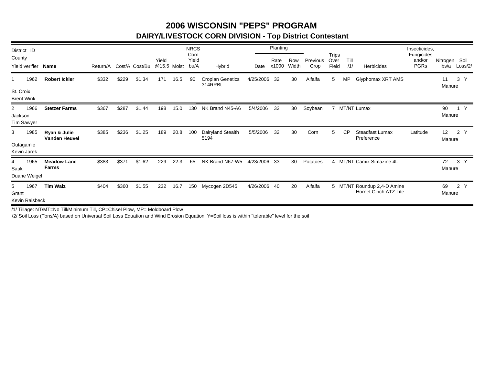## **2006 WISCONSIN "PEPS" PROGRAMDAIRY/LIVESTOCK CORN DIVISION - Top District Contestant**

| District ID                               |                                      |          |       |                |                      |      | <b>NRCS</b>           |                                    |           | Planting      |              |                  |                               |             |                                                      | Insecticides,                       |                           |                |
|-------------------------------------------|--------------------------------------|----------|-------|----------------|----------------------|------|-----------------------|------------------------------------|-----------|---------------|--------------|------------------|-------------------------------|-------------|------------------------------------------------------|-------------------------------------|---------------------------|----------------|
| County<br>Yield verifier                  | <b>Name</b>                          | Return/A |       | Cost/A Cost/Bu | Yield<br>@15.5 Moist |      | Corn<br>Yield<br>bu/A | Hybrid                             | Date      | Rate<br>x1000 | Row<br>Width | Previous<br>Crop | <b>Trips</b><br>Over<br>Field | Till<br>/1/ | Herbicides                                           | Fungicides<br>and/or<br><b>PGRs</b> | Nitrogen Soil<br>lbs/a    | Loss/2/        |
| 1962                                      | <b>Robert Ickler</b>                 | \$332    | \$229 | .34<br>\$1     | 171                  | 16.5 | 90                    | <b>Croplan Genetics</b><br>314RRBt | 4/25/2006 | -32           | 30           | Alfalfa          | 5                             | <b>MP</b>   | Glyphomax XRT AMS                                    |                                     | 11<br>Manure              | 3              |
| St. Croix<br><b>Brent Wink</b>            |                                      |          |       |                |                      |      |                       |                                    |           |               |              |                  |                               |             |                                                      |                                     |                           |                |
| 1966<br>2<br>Jackson<br><b>Tim Sawyer</b> | <b>Stetzer Farms</b>                 | \$367    | \$287 | \$1.44         | 198                  | 15.0 | 130                   | NK Brand N45-A6                    | 5/4/2006  | 32            | 30           | Soybean          |                               |             | MT/NT Lumax                                          |                                     | 90<br>Manure              | Y              |
| 1985<br>3                                 | Ryan & Julie<br><b>Vanden Heuvel</b> | \$385    | \$236 | \$1.25         | 189                  | 20.8 | 100                   | Dairyland Stealth<br>5194          | 5/5/2006  | 32            | 30           | Corn             | 5                             | <b>CP</b>   | Steadfast Lumax<br>Preference                        | Latitude                            | 12 <sup>°</sup><br>Manure | $\overline{2}$ |
| Outagamie<br>Kevin Jarek                  |                                      |          |       |                |                      |      |                       |                                    |           |               |              |                  |                               |             |                                                      |                                     |                           |                |
| 1965<br>4<br>Sauk<br>Duane Weigel         | <b>Meadow Lane</b><br><b>Farms</b>   | \$383    | \$371 | \$1.62         | 229                  | 22.3 | 65                    | NK Brand N67-W5                    | 4/23/2006 | -33           | 30           | Potatoes         | 4                             |             | MT/NT Camix Simazine 4L                              |                                     | 72<br>Manure              | 3<br>Y         |
| 1967<br>5<br>Grant<br>Kevin Raisbeck      | <b>Tim Walz</b>                      | \$404    | \$360 | \$1.55         | 232                  | 16.7 | 150                   | Mycogen 2D545                      | 4/26/2006 | 40            | 20           | Alfalfa          |                               |             | 5 MT/NT Roundup 2,4-D Amine<br>Hornet Cinch ATZ Lite |                                     | 69<br>Manure              | 2 Y            |

/1/ Tillage: NT/MT=No Till/Minimum Till, CP=Chisel Plow, MP= Moldboard Plow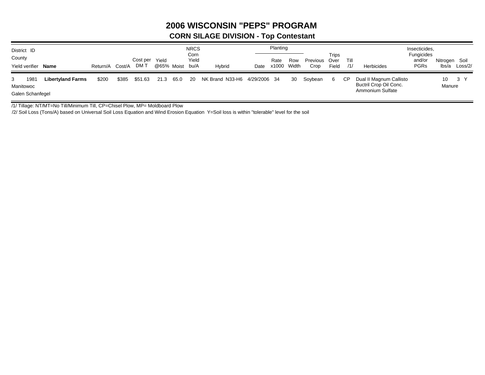# **2006 WISCONSIN "PEPS" PROGRAM**

### **CORN SILAGE DIVISION - Top Contestant**

| District ID<br>County<br>Yield verifier Name |                          | Return/A | Cost/A | Cost per<br>DM T | Yield<br>@65% Moist |      | <b>NRCS</b><br>Corn<br>Yield<br>bu/A | Hybrid                       | Date | Planting<br>Rate<br>x1000 | Row<br>Width | Previous Over<br>Crop | Trips<br>Field | Till<br>/1/ | Herbicides                                                            | Insecticides,<br><b>Fungicides</b><br>and/or<br><b>PGRs</b> | Nitrogen Soil<br>lbs/a | Loss/2/ |
|----------------------------------------------|--------------------------|----------|--------|------------------|---------------------|------|--------------------------------------|------------------------------|------|---------------------------|--------------|-----------------------|----------------|-------------|-----------------------------------------------------------------------|-------------------------------------------------------------|------------------------|---------|
| 1981<br>3<br>Manitowoc<br>Galen Schanfegel   | <b>Libertyland Farms</b> | \$200    | \$385  | \$51.63          | 21.3                | 65.0 | 20                                   | NK Brand N33-H6 4/29/2006 34 |      |                           | 30           | Soybean               | 6              | СP          | Dual II Magnum Callisto<br>Buctril Crop Oil Conc.<br>Ammonium Sulfate |                                                             | 10<br>Manure           | 3 Y     |

/1/ Tillage: NT/MT=No Till/Minimum Till, CP=Chisel Plow, MP= Moldboard Plow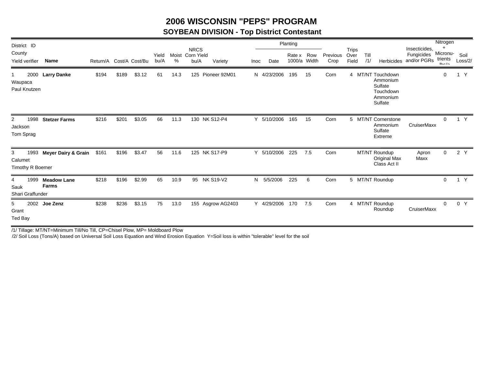## **2006 WISCONSIN "PEPS" PROGRAM**

### **SOYBEAN DIVISION - Top District Contestant**

| District ID                              |                                    |                         |       |        |               |      |                                         |                   |      |             | Planting |                     |                  |                               |             |                                                                              |                                            | Nitrogen                                |                 |  |
|------------------------------------------|------------------------------------|-------------------------|-------|--------|---------------|------|-----------------------------------------|-------------------|------|-------------|----------|---------------------|------------------|-------------------------------|-------------|------------------------------------------------------------------------------|--------------------------------------------|-----------------------------------------|-----------------|--|
| County<br><b>Yield verifier</b>          | Name                               | Return/A Cost/A Cost/Bu |       |        | Yield<br>bu/A | %    | <b>NRCS</b><br>Moist Corn Yield<br>bu/A | Variety           | Inoc | Date        | Rate x   | Row<br>1000/a Width | Previous<br>Crop | <b>Trips</b><br>Over<br>Field | Till<br>/1/ | <b>Herbicides</b>                                                            | Insecticides,<br>Fungicides<br>and/or PGRs | $\ddot{}$<br>Micronu-<br>trients<br>lhh | Soil<br>Loss/2/ |  |
| 2000<br>Waupaca<br>Paul Knutzen          | <b>Larry Danke</b>                 | \$194                   | \$189 | \$3.12 | 61            | 14.3 | 125                                     | Pioneer 92M01     | N    | 4/23/2006   | 195      | 15                  | Corn             |                               |             | 4 MT/NT Touchdown<br>Ammonium<br>Sulfate<br>Touchdown<br>Ammonium<br>Sulfate |                                            | 0                                       | Y               |  |
| 1998<br>2<br>Jackson<br>Tom Sprag        | <b>Stetzer Farms</b>               | \$216                   | \$201 | \$3.05 | 66            | 11.3 | 130 NK S12-P4                           |                   |      | Y 5/10/2006 | 165      | 15                  | Corn             |                               |             | 5 MT/NT Cornerstone<br>Ammonium<br>Sulfate<br>Extreme                        | CruiserMaxx                                | $\mathbf{0}$                            | 1 Y             |  |
| 1993<br>3<br>Calumet<br>Timothy R Boemer | Meyer Dairy & Grain                | \$161                   | \$196 | \$3.47 | 56            | 11.6 | 125 NK S17-P9                           |                   | Y    | 5/10/2006   | 225      | 7.5                 | Corn             |                               |             | MT/NT Roundup<br>Original Max<br>Class Act II                                | Apron<br>Maxx                              | 0                                       | 2 Y             |  |
| 1999<br>4<br>Sauk<br>Shari Graffunder    | <b>Meadow Lane</b><br><b>Farms</b> | \$218                   | \$196 | \$2.99 | 65            | 10.9 | 95                                      | <b>NK S19-V2</b>  | N    | 5/5/2006    | 225      | 6                   | Corn             |                               |             | 5 MT/NT Roundup                                                              |                                            | $\mathbf{0}$                            | 1 Y             |  |
| 5<br>Grant<br>Ted Bay                    | 2002 Joe Zenz                      | \$238                   | \$236 | \$3.15 | 75            | 13.0 |                                         | 155 Asgrow AG2403 |      | Y 4/29/2006 | 170      | 7.5                 | Corn             |                               |             | 4 MT/NT Roundup<br>Roundup                                                   | CruiserMaxx                                | $\mathbf{0}$                            | 0 Y             |  |

/1/ Tillage: MT/NT=Minimum Till/No Till, CP=Chisel Plow, MP= Moldboard Plow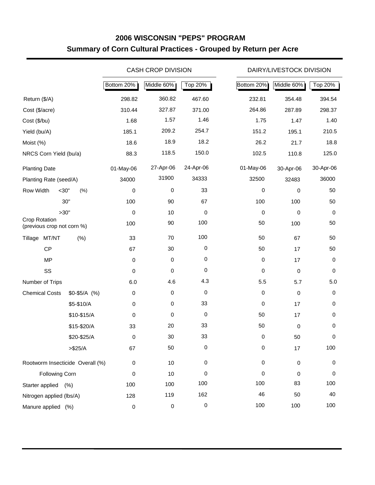# **2006 WISCONSIN "PEPS" PROGRAM Summary of Corn Cultural Practices - Grouped by Return per Acre**

|                                             |               |                     | <b>CASH CROP DIVISION</b> |             |            | DAIRY/LIVESTOCK DIVISION |           |
|---------------------------------------------|---------------|---------------------|---------------------------|-------------|------------|--------------------------|-----------|
|                                             |               | Bottom 20%          | Middle 60%                | Top 20%     | Bottom 20% | Middle 60%               | Top 20%   |
| Return (\$/A)                               |               | 298.82              | 360.82                    | 467.60      | 232.81     | 354.48                   | 394.54    |
| Cost (\$/acre)                              |               | 310.44              | 327.87                    | 371.00      | 264.86     | 287.89                   | 298.37    |
| Cost (\$/bu)                                |               | 1.68                | 1.57                      | 1.46        | 1.75       | 1.47                     | 1.40      |
| Yield (bu/A)                                |               | 185.1               | 209.2                     | 254.7       | 151.2      | 195.1                    | 210.5     |
| Moist (%)                                   |               | 18.6                | 18.9                      | 18.2        | 26.2       | 21.7                     | 18.8      |
| NRCS Corn Yield (bu/a)                      |               | 88.3                | 118.5                     | 150.0       | 102.5      | 110.8                    | 125.0     |
| <b>Planting Date</b>                        |               | 01-May-06           | 27-Apr-06                 | 24-Apr-06   | 01-May-06  | 30-Apr-06                | 30-Apr-06 |
| Planting Rate (seed/A)                      |               | 34000               | 31900                     | 34333       | 32500      | 32483                    | 36000     |
| Row Width<br>$<$ 30"                        | (% )          | 0                   | 0                         | 33          | 0          | 0                        | 50        |
|                                             | 30"           | 100                 | 90                        | 67          | 100        | 100                      | 50        |
|                                             | >30"          | 0                   | 10                        | 0           | 0          | 0                        | 0         |
| Crop Rotation<br>(previous crop not corn %) |               | 100                 | 90                        | 100         | 50         | 100                      | 50        |
| MT/NT<br>Tillage                            | (% )          | 33                  | 70                        | 100         | 50         | 67                       | 50        |
| CP                                          |               | 67                  | 30                        | $\pmb{0}$   | 50         | 17                       | 50        |
| <b>MP</b>                                   |               | 0                   | $\mathbf 0$               | 0           | 0          | 17                       | 0         |
| SS                                          |               | 0                   | 0                         | $\mathbf 0$ | 0          | $\mathbf 0$              | 0         |
| Number of Trips                             |               | 6.0                 | 4.6                       | 4.3         | 5.5        | 5.7                      | $5.0\,$   |
| <b>Chemical Costs</b>                       | $$0-$5/A$ (%) | 0                   | $\mathbf 0$               | $\pmb{0}$   | 0          | $\mathbf 0$              | 0         |
|                                             | \$5-\$10/A    | $\pmb{0}$           | 0                         | 33          | 0          | 17                       | 0         |
|                                             | \$10-\$15/A   | $\pmb{0}$           | 0                         | $\pmb{0}$   | 50         | 17                       | 0         |
|                                             | \$15-\$20/A   | 33                  | 20                        | 33          | 50         | $\pmb{0}$                | 0         |
|                                             | \$20-\$25/A   | $\Omega$            | 30                        | 33          | $\Omega$   | 50                       | 0         |
|                                             | > \$25/A      | 67                  | 50                        | 0           | 0          | 17                       | 100       |
| Rootworm Insecticide Overall (%)            |               | 0                   | 10                        | 0           | 0          | $\pmb{0}$                | 0         |
| Following Corn                              |               | 0                   | 10                        | 0           | 0          | 0                        | 0         |
| Starter applied (%)                         |               | 100                 | 100                       | 100         | 100        | 83                       | 100       |
| Nitrogen applied (lbs/A)                    |               | 128                 | 119                       | 162         | 46         | 50                       | 40        |
| Manure applied (%)                          |               | $\mathsf{O}\xspace$ | 0                         | $\pmb{0}$   | 100        | 100                      | 100       |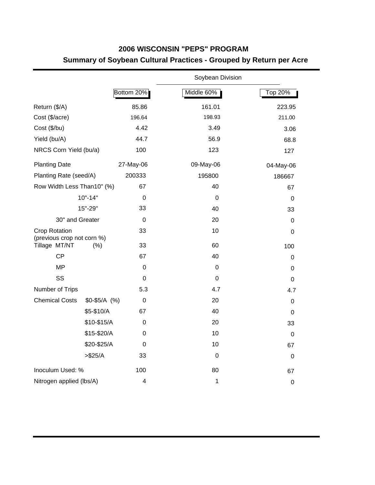## **2006 WISCONSIN "PEPS" PROGRAM Summary of Soybean Cultural Practices - Grouped by Return per Acre**

|                                                    |               |                         | Soybean Division |             |
|----------------------------------------------------|---------------|-------------------------|------------------|-------------|
|                                                    |               | Bottom 20%              | Middle 60%       | Top 20%     |
| Return (\$/A)                                      |               | 85.86                   | 161.01           | 223.95      |
| Cost (\$/acre)                                     |               | 196.64                  | 198.93           | 211.00      |
| Cost (\$/bu)                                       |               | 4.42                    | 3.49             | 3.06        |
| Yield (bu/A)                                       |               | 44.7                    | 56.9             | 68.8        |
| NRCS Corn Yield (bu/a)                             |               | 100                     | 123              | 127         |
| <b>Planting Date</b>                               |               | 27-May-06               | 09-May-06        | 04-May-06   |
| Planting Rate (seed/A)                             |               | 200333                  | 195800           | 186667      |
| Row Width Less Than10" (%)                         |               | 67                      | 40               | 67          |
|                                                    | $10" - 14"$   | $\mathbf 0$             | $\Omega$         | 0           |
|                                                    | 15"-29"       | 33                      | 40               | 33          |
| 30" and Greater                                    |               | $\Omega$                | 20               | 0           |
| <b>Crop Rotation</b><br>(previous crop not corn %) |               | 33                      | 10               | 0           |
| Tillage MT/NT                                      | (% )          | 33                      | 60               | 100         |
| <b>CP</b>                                          |               | 67                      | 40               | 0           |
| <b>MP</b>                                          |               | 0                       | 0                | 0           |
| SS                                                 |               | $\boldsymbol{0}$        | $\Omega$         | $\mathbf 0$ |
| Number of Trips                                    |               | 5.3                     | 4.7              | 4.7         |
| <b>Chemical Costs</b>                              | $$0-$5/A$ (%) | 0                       | 20               | $\mathbf 0$ |
|                                                    | \$5-\$10/A    | 67                      | 40               | 0           |
|                                                    | \$10-\$15/A   | 0                       | 20               | 33          |
|                                                    | \$15-\$20/A   | 0                       | 10               | $\mathbf 0$ |
|                                                    | \$20-\$25/A   | 0                       | 10               | 67          |
|                                                    | > \$25/A      | 33                      | $\mathbf 0$      | $\mathbf 0$ |
| Inoculum Used: %                                   |               | 100                     | 80               | 67          |
| Nitrogen applied (lbs/A)                           |               | $\overline{\mathbf{4}}$ | $\mathbf 1$      | $\mathbf 0$ |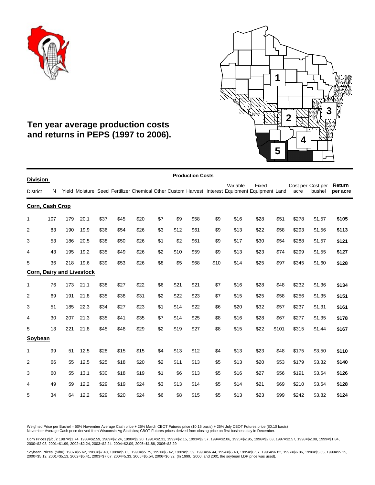



# **Ten year average production costs and returns in PEPS (1997 to 2006).**

| <b>Division</b> |     |     |                                  |      |      |      |     |      | <b>Production Costs</b> |      |                                                                                                            |       |       |                           |        |                    |
|-----------------|-----|-----|----------------------------------|------|------|------|-----|------|-------------------------|------|------------------------------------------------------------------------------------------------------------|-------|-------|---------------------------|--------|--------------------|
| <b>District</b> | N   |     |                                  |      |      |      |     |      |                         |      | Variable<br>Yield Moisture Seed Fertilizer Chemical Other Custom Harvest Interest Equipment Equipment Land | Fixed |       | Cost per Cost per<br>acre | bushel | Return<br>per acre |
| Corn, Cash Crop |     |     |                                  |      |      |      |     |      |                         |      |                                                                                                            |       |       |                           |        |                    |
| 1               | 107 | 179 | 20.1                             | \$37 | \$45 | \$20 | \$7 | \$9  | \$58                    | \$9  | \$16                                                                                                       | \$28  | \$51  | \$278                     | \$1.57 | \$105              |
| $\overline{2}$  | 83  | 190 | 19.9                             | \$36 | \$54 | \$26 | \$3 | \$12 | \$61                    | \$9  | \$13                                                                                                       | \$22  | \$58  | \$293                     | \$1.56 | \$113              |
| 3               | 53  | 186 | 20.5                             | \$38 | \$50 | \$26 | \$1 | \$2  | \$61                    | \$9  | \$17                                                                                                       | \$30  | \$54  | \$288                     | \$1.57 | \$121              |
| 4               | 43  | 195 | 19.2                             | \$35 | \$49 | \$26 | \$2 | \$10 | \$59                    | \$9  | \$13                                                                                                       | \$23  | \$74  | \$299                     | \$1.55 | \$127              |
| 5               | 36  | 218 | 19.6                             | \$39 | \$53 | \$26 | \$8 | \$5  | \$68                    | \$10 | \$14                                                                                                       | \$25  | \$97  | \$345                     | \$1.60 | \$128              |
|                 |     |     | <b>Corn, Dairy and Livestock</b> |      |      |      |     |      |                         |      |                                                                                                            |       |       |                           |        |                    |
| 1               | 76  | 173 | 21.1                             | \$38 | \$27 | \$22 | \$6 | \$21 | \$21                    | \$7  | \$16                                                                                                       | \$28  | \$48  | \$232                     | \$1.36 | \$134              |
| $\overline{2}$  | 69  | 191 | 21.8                             | \$35 | \$38 | \$31 | \$2 | \$22 | \$23                    | \$7  | \$15                                                                                                       | \$25  | \$58  | \$256                     | \$1.35 | \$151              |
| 3               | 51  | 185 | 22.3                             | \$34 | \$27 | \$23 | \$1 | \$14 | \$22                    | \$6  | \$20                                                                                                       | \$32  | \$57  | \$237                     | \$1.31 | \$161              |
| 4               | 30  | 207 | 21.3                             | \$35 | \$41 | \$35 | \$7 | \$14 | \$25                    | \$8  | \$16                                                                                                       | \$28  | \$67  | \$277                     | \$1.35 | \$178              |
| 5               | 13  | 221 | 21.8                             | \$45 | \$48 | \$29 | \$2 | \$19 | \$27                    | \$8  | \$15                                                                                                       | \$22  | \$101 | \$315                     | \$1.44 | \$167              |
| Soybean         |     |     |                                  |      |      |      |     |      |                         |      |                                                                                                            |       |       |                           |        |                    |
| 1               | 99  | 51  | 12.5                             | \$28 | \$15 | \$15 | \$4 | \$13 | \$12                    | \$4  | \$13                                                                                                       | \$23  | \$48  | \$175                     | \$3.50 | \$110              |
| $\overline{2}$  | 66  | 55  | 12.5                             | \$25 | \$18 | \$20 | \$2 | \$11 | \$13                    | \$5  | \$13                                                                                                       | \$20  | \$53  | \$179                     | \$3.32 | \$140              |
| 3               | 60  | 55  | 13.1                             | \$30 | \$18 | \$19 | \$1 | \$6  | \$13                    | \$5  | \$16                                                                                                       | \$27  | \$56  | \$191                     | \$3.54 | \$126              |
| 4               | 49  | 59  | 12.2                             | \$29 | \$19 | \$24 | \$3 | \$13 | \$14                    | \$5  | \$14                                                                                                       | \$21  | \$69  | \$210                     | \$3.64 | \$128              |
| 5               | 34  | 64  | 12.2                             | \$29 | \$20 | \$24 | \$6 | \$8  | \$15                    | \$5  | \$13                                                                                                       | \$23  | \$99  | \$242                     | \$3.82 | \$124              |
|                 |     |     |                                  |      |      |      |     |      |                         |      |                                                                                                            |       |       |                           |        |                    |

Weighted Price per Bushel = 50% November Average Cash price + 25% March CBOT Futures price (\$0.15 basis) + 25% July CBOT Futures price (\$0.10 basis) November Average Cash price derived from Wisconsin Ag Statistics; CBOT Futures prices derived from closing price on first business day in December.

Corn Prices (\$/bu): 1987=\$1.74, 1988=\$2.59, 1989=\$2.24, 1990=\$2.20, 1991=\$2.31, 1992=\$2.15, 1993=\$2.57, 1994=\$2.06, 1995=\$2.95, 1996=\$2.63, 1997=\$2.57, 1998=\$2.08, 1999=\$1.84,<br>2000=\$2.03, 2001=\$1.99, 2002=\$2.24, 2003=\$2.2

Soybean Prices(\$/bu): 1987=\$5.62, 1988=\$7.40, 1989=\$5.63, 1990=\$5.75, 1991=\$5.42, 1992=\$6.39, 1993=\$6.44, 1994=\$5.48, 1995=\$6.57, 1996=\$6.82, 1997=\$6.86, 1998=\$5.65, 1999=\$5.15,<br>2000=\$5.12, 2001=\$5.13, 2002=\$5.41, 2003=\$7.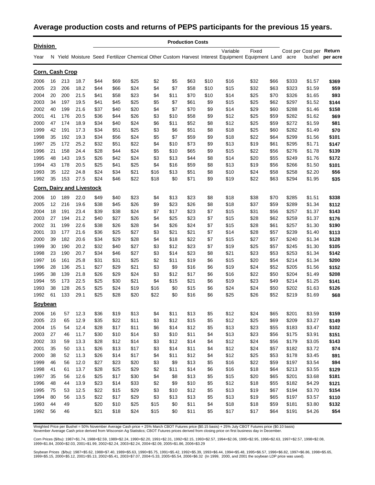### **Average production costs and returns of PEPS participants for the previous 15 years.**

| <b>Division</b> |    |     |                                  |      |      |      |      |      | <b>Production Costs</b> |      |                                                                                                                   |       |      |       |                                    |          |
|-----------------|----|-----|----------------------------------|------|------|------|------|------|-------------------------|------|-------------------------------------------------------------------------------------------------------------------|-------|------|-------|------------------------------------|----------|
| Year            |    |     |                                  |      |      |      |      |      |                         |      | Variable<br>N Yield Moisture Seed Fertilizer Chemical Other Custom Harvest Interest Equipment Equipment Land acre | Fixed |      |       | Cost per Cost per Return<br>bushel | per acre |
| Corn, Cash Crop |    |     |                                  |      |      |      |      |      |                         |      |                                                                                                                   |       |      |       |                                    |          |
| 2006            | 16 | 213 | 18.7                             | \$44 | \$69 | \$25 | \$2  | \$5  | \$63                    | \$10 | \$16                                                                                                              | \$32  | \$66 | \$333 | \$1.57                             | \$369    |
| 2005            | 23 | 206 | 18.2                             | \$44 | \$66 | \$24 | \$4  | \$7  | \$58                    | \$10 | \$15                                                                                                              | \$32  | \$63 | \$323 | \$1.59                             | \$59     |
| 2004            | 20 | 200 | 21.5                             | \$41 | \$58 | \$23 | \$4  | \$11 | \$70                    | \$10 | \$14                                                                                                              | \$25  | \$70 | \$326 | \$1.65                             | \$93     |
| 2003            | 34 | 197 | 19.5                             | \$41 | \$45 | \$25 | \$5  | \$7  | \$61                    | \$9  | \$15                                                                                                              | \$25  | \$62 | \$297 | \$1.52                             | \$144    |
| 2002            | 40 | 199 | 21.6                             | \$37 | \$40 | \$20 | \$4  | \$7  | \$70                    | \$9  | \$14                                                                                                              | \$29  | \$60 | \$288 | \$1.46                             | \$158    |
| 2001            | 41 | 176 | 20.5                             | \$36 | \$44 | \$26 | \$3  | \$10 | \$58                    | \$9  | \$12                                                                                                              | \$25  | \$59 | \$282 | \$1.62                             | \$69     |
| 2000            | 47 | 174 | 18.9                             | \$34 | \$40 | \$24 | \$6  | \$11 | \$52                    | \$8  | \$12                                                                                                              | \$25  | \$59 | \$272 | \$1.59                             | \$81     |
| 1999            | 42 | 191 | 17.3                             | \$34 | \$51 | \$25 | \$3  | \$6  | \$51                    | \$8  | \$18                                                                                                              | \$25  | \$60 | \$282 | \$1.49                             | \$70     |
| 1998            | 35 | 192 | 19.3                             | \$34 | \$56 | \$24 | \$5  | \$7  | \$59                    | \$9  | \$18                                                                                                              | \$22  | \$64 | \$299 | \$1.56                             | \$101    |
| 1997            | 25 | 172 | 25.2                             | \$32 | \$51 | \$22 | \$4  | \$10 | \$73                    | \$9  | \$13                                                                                                              | \$19  | \$61 | \$295 | \$1.71                             | \$147    |
| 1996            | 21 | 158 | 24.4                             | \$28 | \$44 | \$24 | \$5  | \$10 | \$65                    | \$9  | \$15                                                                                                              | \$22  | \$56 | \$276 | \$1.78                             | \$139    |
| 1995            | 48 | 143 | 19.5                             | \$26 | \$42 | \$24 | \$3  | \$13 | \$44                    | \$8  | \$14                                                                                                              | \$20  | \$55 | \$249 | \$1.76                             | \$172    |
| 1994            | 43 | 178 | 20.5                             | \$25 | \$41 | \$25 | \$4  | \$16 | \$59                    | \$8  | \$13                                                                                                              | \$19  | \$56 | \$266 | \$1.50                             | \$101    |
| 1993            | 35 | 122 | 24.8                             | \$24 | \$34 | \$21 | \$16 | \$13 | \$51                    | \$8  | \$10                                                                                                              | \$24  | \$58 | \$258 | \$2.20                             | \$56     |
| 1992            | 35 | 153 | 27.5                             | \$24 | \$46 | \$22 | \$18 | \$0  | \$71                    | \$9  | \$19                                                                                                              | \$22  | \$63 | \$294 | \$1.95                             | \$35     |
|                 |    |     | <b>Corn, Dairy and Livestock</b> |      |      |      |      |      |                         |      |                                                                                                                   |       |      |       |                                    |          |
| 2006            | 10 | 189 | 22.0                             | \$49 | \$40 | \$23 | \$4  | \$13 | \$23                    | \$8  | \$18                                                                                                              | \$38  | \$70 | \$285 | \$1.51                             | \$338    |
| 2005            | 12 | 216 | 19.6                             | \$38 | \$45 | \$26 | \$9  | \$23 | \$26                    | \$8  | \$18                                                                                                              | \$37  | \$59 | \$289 | \$1.34                             | \$112    |
| 2004            | 18 | 191 | 23.4                             | \$39 | \$38 | \$24 | \$7  | \$17 | \$23                    | \$7  | \$15                                                                                                              | \$31  | \$56 | \$257 | \$1.37                             | \$143    |
| 2003            | 27 | 194 | 21.2                             | \$40 | \$27 | \$26 | \$4  | \$25 | \$23                    | \$7  | \$15                                                                                                              | \$28  | \$62 | \$259 | \$1.37                             | \$176    |
| 2002            | 31 | 199 | 22.6                             | \$38 | \$26 | \$28 | \$4  | \$26 | \$24                    | \$7  | \$15                                                                                                              | \$28  | \$61 | \$257 | \$1.30                             | \$190    |
| 2001            | 33 | 177 | 21.6                             | \$36 | \$25 | \$27 | \$3  | \$21 | \$21                    | \$7  | \$14                                                                                                              | \$28  | \$57 | \$239 | \$1.40                             | \$113    |
| 2000            | 39 | 182 | 20.6                             | \$34 | \$29 | \$28 | \$4  | \$18 | \$22                    | \$7  | \$15                                                                                                              | \$27  | \$57 | \$240 | \$1.34                             | \$128    |
| 1999            | 30 | 190 | 20.2                             | \$32 | \$40 | \$27 | \$3  | \$12 | \$23                    | \$7  | \$19                                                                                                              | \$25  | \$57 | \$245 | \$1.30                             | \$105    |
| 1998            | 23 | 190 | 20.7                             | \$34 | \$46 | \$27 | \$3  | \$14 | \$23                    | \$8  | \$21                                                                                                              | \$23  | \$53 | \$253 | \$1.34                             | \$142    |
| 1997            | 16 | 161 | 25.8                             | \$31 | \$31 | \$25 | \$2  | \$11 | \$19                    | \$6  | \$15                                                                                                              | \$20  | \$54 | \$214 | \$1.34                             | \$200    |
| 1996            | 28 | 136 | 25.1                             | \$27 | \$29 | \$21 | \$3  | \$9  | \$16                    | \$6  | \$19                                                                                                              | \$24  | \$52 | \$205 | \$1.56                             | \$152    |
| 1995            | 38 | 139 | 21.8                             | \$26 | \$29 | \$24 | \$3  | \$12 | \$17                    | \$6  | \$16                                                                                                              | \$22  | \$50 | \$204 | \$1.49                             | \$208    |
| 1994            | 55 | 173 | 22.5                             | \$25 | \$30 | \$21 | \$4  | \$15 | \$21                    | \$6  | \$19                                                                                                              | \$23  | \$49 | \$214 | \$1.25                             | \$141    |
| 1993            | 38 | 128 | 26.5                             | \$25 | \$24 | \$19 | \$16 | \$0  | \$15                    | \$6  | \$24                                                                                                              | \$24  | \$50 | \$202 | \$1.63                             | \$126    |
| 1992            | 61 | 133 | 29.1                             | \$25 | \$28 | \$20 | \$22 | \$0  | \$16                    | \$6  | \$25                                                                                                              | \$26  | \$52 | \$219 | \$1.69                             | \$68     |
| Soybean         |    |     |                                  |      |      |      |      |      |                         |      |                                                                                                                   |       |      |       |                                    |          |
| 2006            | 16 | 57  | 12.3                             | \$36 | \$19 | \$13 | \$4  | \$11 | \$13                    | \$5  | \$12                                                                                                              | \$24  | \$65 | \$201 | \$3.59                             | \$159    |
| 2005            | 23 | 65  | 12.9                             | \$35 | \$22 | \$11 | \$3  | \$12 | \$15                    | \$5  | \$12                                                                                                              | \$25  | \$69 | \$209 | \$3.27                             | \$149    |
| 2004            | 15 | 54  | 12.4                             | \$28 | \$17 | \$11 | \$6  | \$14 | \$12                    | \$5  | \$13                                                                                                              | \$23  | \$55 | \$183 | \$3.47                             | \$102    |
| 2003            | 27 | 46  | 11.7                             | \$30 | \$10 | \$14 | \$3  | \$10 | \$11                    | \$4  | \$13                                                                                                              | \$23  | \$56 | \$175 | \$3.91                             | \$151    |
| 2002            | 33 | 59  | 13.3                             | \$28 | \$12 | \$14 | \$3  | \$12 | \$14                    | \$4  | \$12                                                                                                              | \$24  | \$56 | \$179 | \$3.05                             | \$143    |
| 2001            | 35 | 50  | 13.1                             | \$26 | \$13 | \$17 | \$3  | \$14 | \$11                    | \$4  | \$12                                                                                                              | \$24  | \$57 | \$182 | \$3.72                             | \$74     |
| 2000            | 38 | 52  | 11.3                             | \$26 | \$14 | \$17 | \$4  | \$11 | \$12                    | \$4  | \$12                                                                                                              | \$25  | \$53 | \$178 | \$3.45                             | \$91     |
| 1999            | 46 | 56  | 12.0                             | \$27 | \$23 | \$20 | \$3  | \$9  | \$13                    | \$5  | \$16                                                                                                              | \$22  | \$59 | \$197 | \$3.54                             | \$94     |
| 1998            | 41 | 61  | 13.7                             | \$28 | \$25 | \$29 | \$2  | \$11 | \$14                    | \$6  | \$16                                                                                                              | \$18  | \$64 | \$213 | \$3.55                             | \$129    |
| 1997            | 35 | 56  | 12.6                             | \$25 | \$17 | \$30 | \$4  | \$8  | \$13                    | \$5  | \$15                                                                                                              | \$20  | \$65 | \$201 | \$3.68                             | \$181    |
| 1996            | 48 | 44  | 13.9                             | \$23 | \$14 | \$33 | \$2  | \$9  | \$10                    | \$5  | \$12                                                                                                              | \$18  | \$55 | \$182 | \$4.29                             | \$121    |
| 1995            | 75 | 53  | 12.5                             | \$22 | \$15 | \$29 | \$3  | \$10 | \$12                    | \$5  | \$13                                                                                                              | \$19  | \$67 | \$194 | \$3.70                             | \$154    |
| 1994            | 80 | 56  | 13.5                             | \$22 | \$17 | \$29 | \$3  | \$13 | \$13                    | \$5  | \$13                                                                                                              | \$19  | \$65 | \$197 | \$3.57                             | \$110    |
| 1993            | 44 | 49  |                                  | \$20 | \$10 | \$25 | \$15 | \$0  | \$11                    | \$4  | \$18                                                                                                              | \$18  | \$59 | \$181 | \$3.80                             | \$132    |
| 1992            | 56 | 46  |                                  | \$21 | \$18 | \$24 | \$15 | \$0  | \$11                    | \$5  | \$17                                                                                                              | \$17  | \$64 | \$191 | \$4.26                             | \$54     |

Weighted Price per Bushel = 50% November Average Cash price + 25% March CBOT Futures price (\$0.15 basis) + 25% July CBOT Futures price (\$0.10 basis) November Average Cash price derived from Wisconsin Ag Statistics; CBOT Futures prices derived from closing price on first business day in December.

Corn Prices (\$/bu): 1987=\$1.74, 1988=\$2.59, 1989=\$2.24, 1990=\$2.20, 1991=\$2.31, 1992=\$2.15, 1993=\$2.57, 1994=\$2.06, 1995=\$2.95, 1996=\$2.63, 1997=\$2.57, 1998=\$2.08,<br>1999=\$1.84, 2000=\$2.03, 2001=\$1.99, 2002=\$2.24, 2003=\$2.2

Soybean Prices(\$/bu): 1987=\$5.62, 1988=\$7.40, 1989=\$5.63, 1990=\$5.75, 1991=\$5.42, 1992=\$5.39, 1993=\$6.44, 1994=\$5.48, 1995=\$6.57, 1996=\$6.82, 1997=\$6.86, 1998=\$5.65,<br>1999=\$5.15, 2000=\$5.12, 2001=\$5.13, 2002=\$5.41, 2003=\$7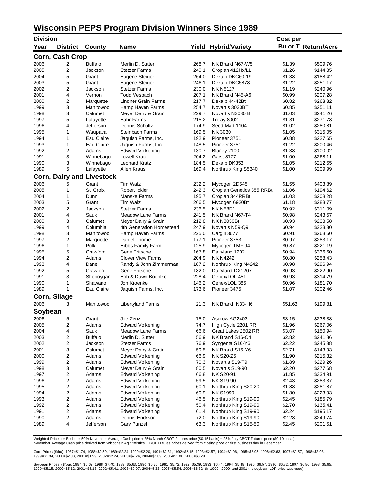## **Wisconsin PEPS Program Division Winners Since 1989**

| <b>Division</b> |                        |                            |                          |       |                           | Cost per |                            |
|-----------------|------------------------|----------------------------|--------------------------|-------|---------------------------|----------|----------------------------|
| Year            | <b>District</b>        | County                     | <b>Name</b>              | Yield | <b>Hybrid/Variety</b>     |          | <b>Bu or T Return/Acre</b> |
|                 | <b>Corn, Cash Crop</b> |                            |                          |       |                           |          |                            |
| 2006            | 2                      | <b>Buffalo</b>             | Merlin D. Sutter         | 268.7 | NK Brand N67-W5           | \$1.39   | \$509.76                   |
| 2005            | $\overline{2}$         | Jackson                    | <b>Stetzer Farms</b>     | 240.1 | Croplan 412Hx/LL          | \$1.26   | \$144.85                   |
| 2004            | 5                      | Grant                      | Eugene Steiger           | 264.0 | Dekalb DKC60-19           | \$1.38   | \$188.42                   |
| 2003            | 5                      | Grant                      | Eugene Steiger           | 246.1 | Dekalb DKC5878            | \$1.22   | \$251.17                   |
| 2002            | 2                      | Jackson                    | <b>Stetzer Farms</b>     | 230.0 | <b>NK N5127</b>           | \$1.19   | \$240.96                   |
| 2001            | 4                      | Vernon                     | Todd Vesbach             | 207.1 | NK Brand N45-A6           | \$0.99   | \$207.28                   |
| 2000            | 2                      | Marquette                  | Lindner Grain Farms      | 217.7 | Dekalb 44-42Bt            | \$0.82   | \$263.82                   |
| 1999            | 3                      | Manitowoc                  | Hamp Haven Farms         | 254.7 | Novartis 3030BT           | \$0.85   | \$251.11                   |
| 1998            | 3                      | Calumet                    | Meyer Dairy & Grain      | 229.7 | Novartis N3030 BT         | \$1.03   | \$241.26                   |
| 1997            | 5                      | Lafayette                  | <b>Bahr Farms</b>        | 215.2 | Trelay 8002               | \$1.31   | \$271.78                   |
| 1996            | 4                      | Jefferson                  | Dennis Schultz           | 174.9 | Seed Mart 1104            | \$1.02   | \$280.81                   |
| 1995            | 1                      | Waupaca                    | <b>Steinbach Farms</b>   | 169.5 | NK 3030                   | \$1.05   | \$315.05                   |
| 1994            | 1                      | Eau Claire                 | Jaquish Farms, Inc.      | 192.9 | Pioneer 3751              | \$0.88   | \$227.65                   |
| 1993            | 1                      | Eau Claire                 | Jaquish Farms, Inc.      | 148.5 | Pioneer 3751              | \$1.22   | \$200.46                   |
| 1992            | 2                      | Adams                      | <b>Edward Volkening</b>  | 130.7 | Blaney 2100               | \$1.38   | \$100.02                   |
| 1991            | 3                      | Winnebago                  | <b>Lowell Kratz</b>      | 204.2 | <b>Garst 8777</b>         | \$1.00   | \$268.11                   |
| 1990            | 3                      | Winnebago                  | <b>Leonard Kratz</b>     | 184.5 | Dekalb DK353              | \$1.05   | \$212.55                   |
| 1989            | 5                      | Lafayette                  | Allen Kraus              | 169.4 | Northrup King S5340       | \$1.00   | \$209.99                   |
| <u>Corn,</u>    |                        | <b>Dairy and Livestock</b> |                          |       |                           |          |                            |
| 2006            | 5                      | Grant                      | Tim Walz                 | 232.2 | Mycogen 2D545             | \$1.55   | \$403.89                   |
| 2005            | 1                      | St. Croix                  | Robert Ickler            | 242.3 | Croplan Genetics 355 RRBt | \$1.06   | \$194.62                   |
| 2004            | 1                      | Dunn                       | Manske Farms             | 195.7 | Croplan 344RRBt           | \$1.03   | \$208.28                   |
| 2003            | 5                      | Grant                      | Tim Walz                 | 266.5 | Mycogen 6920Bt            | \$1.18   | \$283.77                   |
| 2002            | 2                      | Jackson                    | <b>Stetzer Farms</b>     | 236.5 | <b>NK N58D1</b>           | \$0.92   | \$311.09                   |
| 2001            | 4                      | Sauk                       | <b>Meadow Lane Farms</b> | 241.5 | NK Brand N67-T4           | \$0.98   | \$243.57                   |
| 2000            | 3                      | Calumet                    | Meyer Dairy & Grain      | 212.8 | <b>NK N3030Bt</b>         | \$0.93   | \$233.58                   |
| 1999            | 4                      | Columbia                   | 4th Generation Homestead | 247.9 | Novartis N59-Q9           | \$0.94   | \$223.30                   |
| 1998            | 3                      | Manitowoc                  | Hamp Haven Farms         | 225.0 | Cargill 3677              | \$0.91   | \$263.60                   |
| 1997            | 2                      | Marquette                  | Daniel Thome             | 177.1 | Pioneer 3753              | \$0.97   | \$283.17                   |
| 1996            | 1                      | Polk                       | Hibbs Family Farm        | 125.9 | Mycogen TMF 94            | \$0.87   | \$221.19                   |
| 1995            | 5                      | Crawford                   | Gene Fritsche            | 167.8 | Dairyland 1202            | \$0.94   | \$336.60                   |
| 1994            | 2                      | Adams                      | <b>Clover View Farms</b> | 204.9 | <b>NK N4242</b>           | \$0.80   | \$258.43                   |
| 1993            | 4                      | Dane                       | Randy & John Zimmerman   | 187.2 | Northrup King N4242       | \$0.98   | \$296.94                   |
| 1992            | 5                      | Crawford                   | Gene Fritsche            | 182.0 | Dairyland DX1207          | \$0.93   | \$222.90                   |
| 1991            | 3                      | Sheboygan                  | Bob & Dawn Boehlke       | 228.4 | Cenex/LOL 451             | \$0.93   | \$314.79                   |
| 1990            | 1                      | Shawano                    | Jon Kroenke              | 146.2 | Cenex/LOL 385             | \$0.96   | \$181.70                   |
| 1989            | 1                      | Eau Claire                 | Jaquish Farms, Inc.      | 173.6 | Pioneer 3475              | \$1.07   | \$202.46                   |
|                 | Corn, Silage           |                            |                          |       |                           |          |                            |
| 2006            | 3                      | Manitowoc                  | <b>Libertyland Farms</b> | 21.3  | NK Brand N33-H6           | \$51.63  | \$199.81                   |
| Soybean         |                        |                            |                          |       |                           |          |                            |
| 2006            | 5                      | Grant                      | Joe Zenz                 | 75.0  | Asgrow AG2403             | \$3.15   | \$238.38                   |
| 2005            | 2                      | Adams                      | <b>Edward Volkening</b>  | 74.7  | High Cycle 2201 RR        | \$1.96   | \$267.06                   |
| 2004            | 4                      | Sauk                       | <b>Meadow Lane Farms</b> | 66.6  | Great Lakes 2502 RR       | \$3.07   | \$150.94                   |
| 2003            | 2                      | <b>Buffalo</b>             | Merlin D. Sutter         | 56.9  | NK Brand S16-C4           | \$2.82   | \$241.86                   |
| 2002            | 2                      | Jackson                    | <b>Stetzer Farms</b>     | 76.9  | Syngenta S16-Y6           | \$2.22   | \$245.38                   |
| 2001            | 3                      | Calumet                    | Meyer Dairy & Grain      | 59.5  | NK Brand S16-Y6           | \$2.71   | \$143.93                   |
| 2000            | 2                      | Adams                      | <b>Edward Volkening</b>  | 66.9  | <b>NK S20-Z5</b>          | \$1.90   | \$215.32                   |
| 1999            | 2                      | Adams                      | <b>Edward Volkening</b>  | 70.3  | Novartis S19-T9           | \$1.89   | \$229.26                   |
| 1998            | 3                      | Calumet                    | Meyer Dairy & Grain      | 80.5  | Novartis S19-90           | \$2.20   | \$277.68                   |
| 1997            | 2                      | Adams                      | <b>Edward Volkening</b>  | 66.8  | NK S20-91                 | \$1.85   | \$334.91                   |
| 1996            | $\mathbf 2$            | Adams                      | <b>Edward Volkening</b>  | 59.5  | <b>NK S19-90</b>          | \$2.43   | \$283.37                   |
| 1995            | 2                      | Adams                      | <b>Edward Volkening</b>  | 60.1  | Northrup King S20-20      | \$1.88   | \$281.87                   |
| 1994            | 2                      | Adams                      | <b>Edward Volkening</b>  | 60.9  | <b>NK S1990</b>           | \$1.80   | \$223.93                   |
| 1993            | 2                      | Adams                      | <b>Edward Volkening</b>  | 46.5  | Northrup King S19-90      | \$2.45   | \$185.79                   |
| 1992            | 2                      | Adams                      | <b>Edward Volkening</b>  | 50.4  | Northrup King S19-90      | \$2.70   | \$135.41                   |
| 1991            | 2                      | Adams                      | <b>Edward Volkening</b>  | 61.4  | Northrup King S19-90      | \$2.24   | \$195.17                   |
| 1990            | 2                      | Adams                      | Dennis Erickson          | 72.0  | Northrup King S19-90      | \$2.28   | \$249.74                   |
| 1989            | 4                      | Jefferson                  | <b>Gary Punzel</b>       | 63.3  | Northrup King S15-50      | \$2.45   | \$201.51                   |

Weighted Price per Bushel = 50% November Average Cash price + 25% March CBOT Futures price (\$0.15 basis) + 25% July CBOT Futures price (\$0.10 basis) November Average Cash price derived from Wisconsin Ag Statistics; CBOT Futures prices derived from closing price on first business day in December.

Corn Prices (\$/bu): 1987=\$1.74, 1988=\$2.59, 1989=\$2.24, 1990=\$2.20, 1991=\$2.31, 1992=\$2.15, 1993=\$2.57, 1994=\$2.06, 1995=\$2.95, 1996=\$2.63, 1997=\$2.57, 1998=\$2.08, 1999=\$1.84, 2000=\$2.03, 2001=\$1.99, 2002=\$2.24, 2003=\$2.24, 2004=\$2.09, 2005=\$1.86, 2006=\$3.29

Soybean Prices (\$/bu): 1987=\$5.62, 1988=\$7.40, 1989=\$5.63, 1990=\$5.75, 1991=\$5.42, 1992=\$5.39, 1993=\$6.44, 1994=\$5.48, 1995=\$6.57, 1996=\$6.82, 1997=\$6.86, 1998=\$5.65, 1999=\$5.15, 2000=\$5.12, 2001=\$5.13, 2002=\$5.41, 2003=\$7.07, 2004=5.33, 2005=\$5.54, 2006=\$6.32 (In 1999, 2000, and 2001 the soybean LDP price was used).